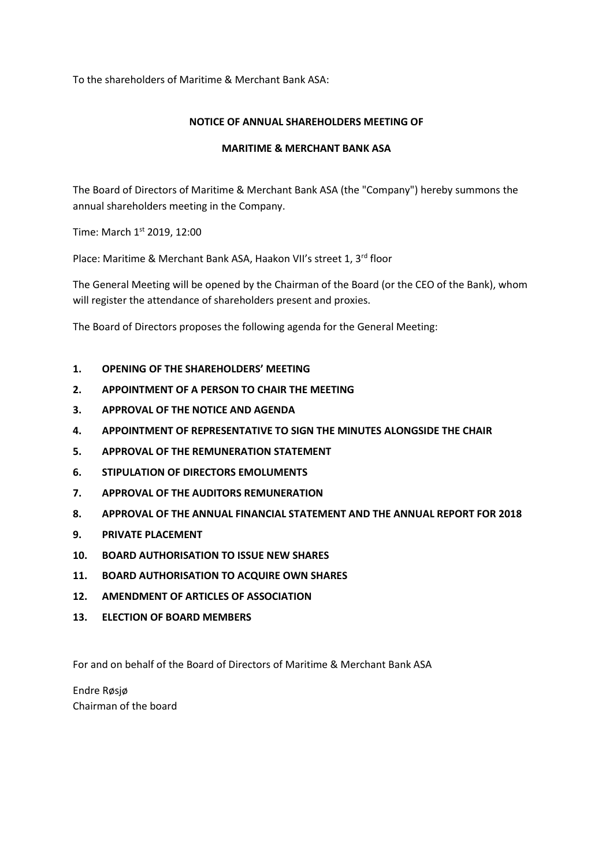To the shareholders of Maritime & Merchant Bank ASA:

#### **NOTICE OF ANNUAL SHAREHOLDERS MEETING OF**

#### **MARITIME & MERCHANT BANK ASA**

The Board of Directors of Maritime & Merchant Bank ASA (the "Company") hereby summons the annual shareholders meeting in the Company.

Time: March 1st 2019, 12:00

Place: Maritime & Merchant Bank ASA, Haakon VII's street 1, 3rd floor

The General Meeting will be opened by the Chairman of the Board (or the CEO of the Bank), whom will register the attendance of shareholders present and proxies.

The Board of Directors proposes the following agenda for the General Meeting:

- **1. OPENING OF THE SHAREHOLDERS' MEETING**
- **2. APPOINTMENT OF A PERSON TO CHAIR THE MEETING**
- **3. APPROVAL OF THE NOTICE AND AGENDA**
- **4. APPOINTMENT OF REPRESENTATIVE TO SIGN THE MINUTES ALONGSIDE THE CHAIR**
- **5. APPROVAL OF THE REMUNERATION STATEMENT**
- **6. STIPULATION OF DIRECTORS EMOLUMENTS**
- **7. APPROVAL OF THE AUDITORS REMUNERATION**
- **8. APPROVAL OF THE ANNUAL FINANCIAL STATEMENT AND THE ANNUAL REPORT FOR 2018**
- **9. PRIVATE PLACEMENT**
- **10. BOARD AUTHORISATION TO ISSUE NEW SHARES**
- **11. BOARD AUTHORISATION TO ACQUIRE OWN SHARES**
- **12. AMENDMENT OF ARTICLES OF ASSOCIATION**
- **13. ELECTION OF BOARD MEMBERS**

For and on behalf of the Board of Directors of Maritime & Merchant Bank ASA

Endre Røsjø Chairman of the board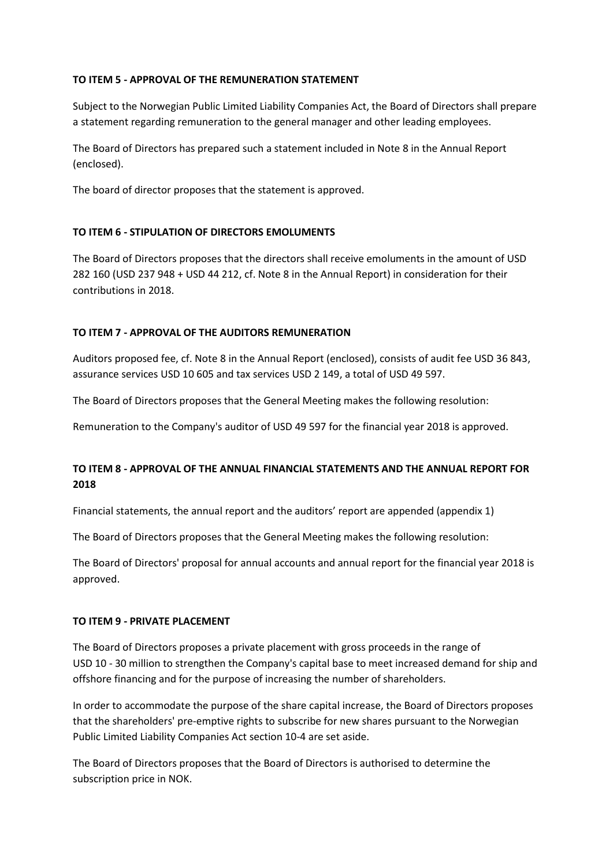#### **TO ITEM 5 - APPROVAL OF THE REMUNERATION STATEMENT**

Subject to the Norwegian Public Limited Liability Companies Act, the Board of Directors shall prepare a statement regarding remuneration to the general manager and other leading employees.

The Board of Directors has prepared such a statement included in Note 8 in the Annual Report (enclosed).

The board of director proposes that the statement is approved.

### **TO ITEM 6 - STIPULATION OF DIRECTORS EMOLUMENTS**

The Board of Directors proposes that the directors shall receive emoluments in the amount of USD 282 160 (USD 237 948 + USD 44 212, cf. Note 8 in the Annual Report) in consideration for their contributions in 2018.

### **TO ITEM 7 - APPROVAL OF THE AUDITORS REMUNERATION**

Auditors proposed fee, cf. Note 8 in the Annual Report (enclosed), consists of audit fee USD 36 843, assurance services USD 10 605 and tax services USD 2 149, a total of USD 49 597.

The Board of Directors proposes that the General Meeting makes the following resolution:

Remuneration to the Company's auditor of USD 49 597 for the financial year 2018 is approved.

# **TO ITEM 8 - APPROVAL OF THE ANNUAL FINANCIAL STATEMENTS AND THE ANNUAL REPORT FOR 2018**

Financial statements, the annual report and the auditors' report are appended (appendix 1)

The Board of Directors proposes that the General Meeting makes the following resolution:

The Board of Directors' proposal for annual accounts and annual report for the financial year 2018 is approved.

#### **TO ITEM 9 - PRIVATE PLACEMENT**

The Board of Directors proposes a private placement with gross proceeds in the range of USD 10 - 30 million to strengthen the Company's capital base to meet increased demand for ship and offshore financing and for the purpose of increasing the number of shareholders.

In order to accommodate the purpose of the share capital increase, the Board of Directors proposes that the shareholders' pre-emptive rights to subscribe for new shares pursuant to the Norwegian Public Limited Liability Companies Act section 10-4 are set aside.

The Board of Directors proposes that the Board of Directors is authorised to determine the subscription price in NOK.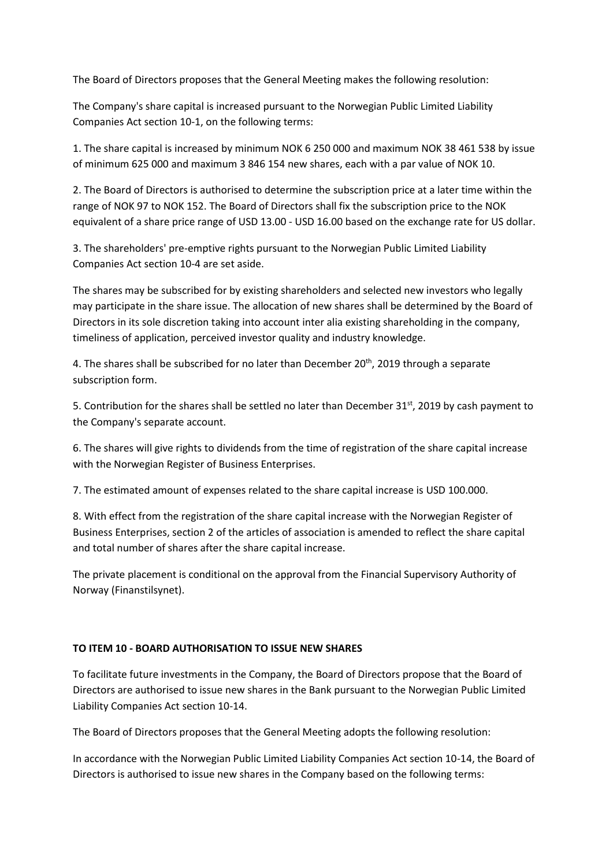The Board of Directors proposes that the General Meeting makes the following resolution:

The Company's share capital is increased pursuant to the Norwegian Public Limited Liability Companies Act section 10-1, on the following terms:

1. The share capital is increased by minimum NOK 6 250 000 and maximum NOK 38 461 538 by issue of minimum 625 000 and maximum 3 846 154 new shares, each with a par value of NOK 10.

2. The Board of Directors is authorised to determine the subscription price at a later time within the range of NOK 97 to NOK 152. The Board of Directors shall fix the subscription price to the NOK equivalent of a share price range of USD 13.00 - USD 16.00 based on the exchange rate for US dollar.

3. The shareholders' pre-emptive rights pursuant to the Norwegian Public Limited Liability Companies Act section 10-4 are set aside.

The shares may be subscribed for by existing shareholders and selected new investors who legally may participate in the share issue. The allocation of new shares shall be determined by the Board of Directors in its sole discretion taking into account inter alia existing shareholding in the company, timeliness of application, perceived investor quality and industry knowledge.

4. The shares shall be subscribed for no later than December  $20<sup>th</sup>$ , 2019 through a separate subscription form.

5. Contribution for the shares shall be settled no later than December 31st, 2019 by cash payment to the Company's separate account.

6. The shares will give rights to dividends from the time of registration of the share capital increase with the Norwegian Register of Business Enterprises.

7. The estimated amount of expenses related to the share capital increase is USD 100.000.

8. With effect from the registration of the share capital increase with the Norwegian Register of Business Enterprises, section 2 of the articles of association is amended to reflect the share capital and total number of shares after the share capital increase.

The private placement is conditional on the approval from the Financial Supervisory Authority of Norway (Finanstilsynet).

### **TO ITEM 10 - BOARD AUTHORISATION TO ISSUE NEW SHARES**

To facilitate future investments in the Company, the Board of Directors propose that the Board of Directors are authorised to issue new shares in the Bank pursuant to the Norwegian Public Limited Liability Companies Act section 10-14.

The Board of Directors proposes that the General Meeting adopts the following resolution:

In accordance with the Norwegian Public Limited Liability Companies Act section 10-14, the Board of Directors is authorised to issue new shares in the Company based on the following terms: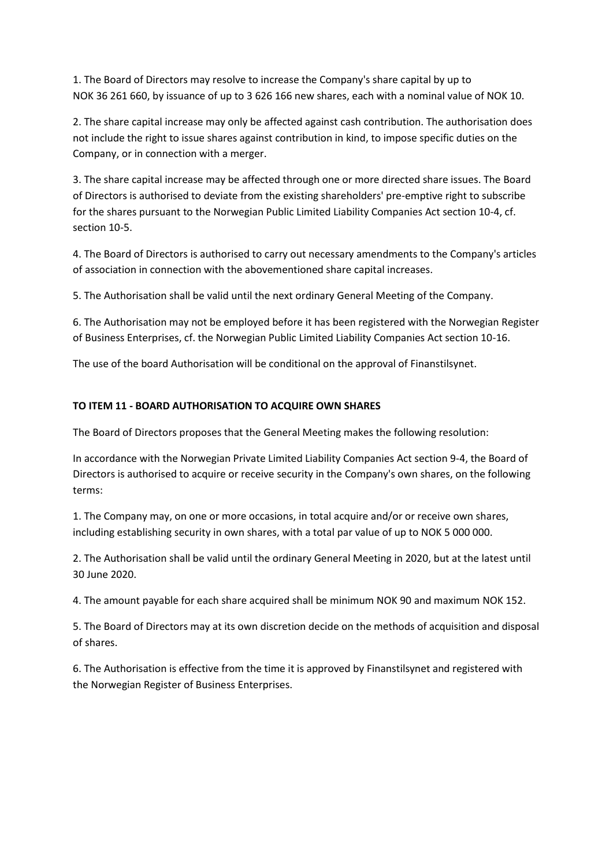1. The Board of Directors may resolve to increase the Company's share capital by up to NOK 36 261 660, by issuance of up to 3 626 166 new shares, each with a nominal value of NOK 10.

2. The share capital increase may only be affected against cash contribution. The authorisation does not include the right to issue shares against contribution in kind, to impose specific duties on the Company, or in connection with a merger.

3. The share capital increase may be affected through one or more directed share issues. The Board of Directors is authorised to deviate from the existing shareholders' pre-emptive right to subscribe for the shares pursuant to the Norwegian Public Limited Liability Companies Act section 10-4, cf. section 10-5.

4. The Board of Directors is authorised to carry out necessary amendments to the Company's articles of association in connection with the abovementioned share capital increases.

5. The Authorisation shall be valid until the next ordinary General Meeting of the Company.

6. The Authorisation may not be employed before it has been registered with the Norwegian Register of Business Enterprises, cf. the Norwegian Public Limited Liability Companies Act section 10-16.

The use of the board Authorisation will be conditional on the approval of Finanstilsynet.

### **TO ITEM 11 - BOARD AUTHORISATION TO ACQUIRE OWN SHARES**

The Board of Directors proposes that the General Meeting makes the following resolution:

In accordance with the Norwegian Private Limited Liability Companies Act section 9-4, the Board of Directors is authorised to acquire or receive security in the Company's own shares, on the following terms:

1. The Company may, on one or more occasions, in total acquire and/or or receive own shares, including establishing security in own shares, with a total par value of up to NOK 5 000 000.

2. The Authorisation shall be valid until the ordinary General Meeting in 2020, but at the latest until 30 June 2020.

4. The amount payable for each share acquired shall be minimum NOK 90 and maximum NOK 152.

5. The Board of Directors may at its own discretion decide on the methods of acquisition and disposal of shares.

6. The Authorisation is effective from the time it is approved by Finanstilsynet and registered with the Norwegian Register of Business Enterprises.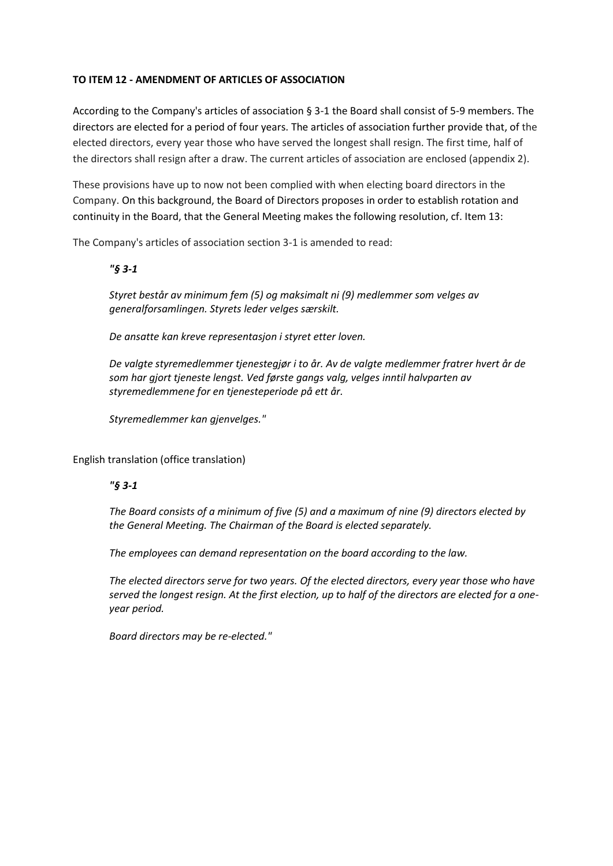## **TO ITEM 12 - AMENDMENT OF ARTICLES OF ASSOCIATION**

According to the Company's articles of association § 3-1 the Board shall consist of 5-9 members. The directors are elected for a period of four years. The articles of association further provide that, of the elected directors, every year those who have served the longest shall resign. The first time, half of the directors shall resign after a draw. The current articles of association are enclosed (appendix 2).

These provisions have up to now not been complied with when electing board directors in the Company. On this background, the Board of Directors proposes in order to establish rotation and continuity in the Board, that the General Meeting makes the following resolution, cf. Item 13:

The Company's articles of association section 3-1 is amended to read:

### *"§ 3-1*

*Styret består av minimum fem (5) og maksimalt ni (9) medlemmer som velges av generalforsamlingen. Styrets leder velges særskilt.*

*De ansatte kan kreve representasjon i styret etter loven.*

*De valgte styremedlemmer tjenestegjør i to år. Av de valgte medlemmer fratrer hvert år de som har gjort tjeneste lengst. Ved første gangs valg, velges inntil halvparten av styremedlemmene for en tjenesteperiode på ett år.*

*Styremedlemmer kan gjenvelges."*

English translation (office translation)

## *"§ 3-1*

*The Board consists of a minimum of five (5) and a maximum of nine (9) directors elected by the General Meeting. The Chairman of the Board is elected separately.*

*The employees can demand representation on the board according to the law.*

*The elected directors serve for two years. Of the elected directors, every year those who have served the longest resign. At the first election, up to half of the directors are elected for a oneyear period.*

*Board directors may be re-elected."*